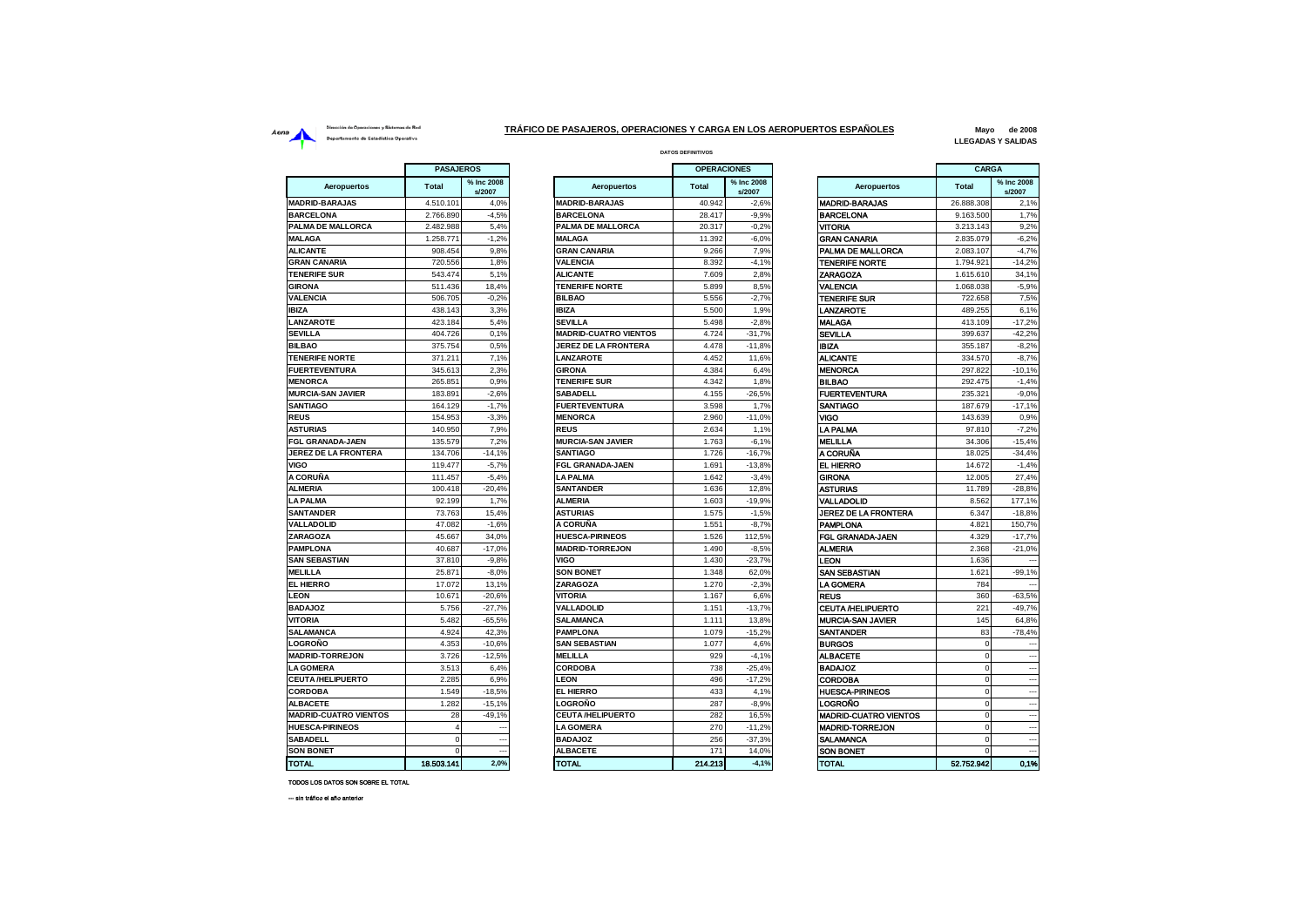## Dirección de Operaciones y Sistemas de Red Aena<br>**Aena** Departamento de Estadística Operativa<br>Departamento de Estadística Operativa

**DATOS DEFINITIVOS TRÁFICO DE PASAJEROS, OPERACIONES Y CARGA EN LOS AEROPUERTOS ESPAÑOLES**

**Mayo de 2008 LLEGADAS Y SALIDAS**

|                                  | <b>PASAJEROS</b> |                      |  |  |
|----------------------------------|------------------|----------------------|--|--|
| <b>Aeropuertos</b>               | Total            | % Inc 2008<br>s/2007 |  |  |
| <b>MADRID-BARAJAS</b>            | 4.510.101        | 4,0%                 |  |  |
| <b>BARCELONA</b>                 | 2.766.890        | $-4,5%$              |  |  |
| <b>ALMA DE MALLORCA</b>          | 2.482.988        | 5,4%                 |  |  |
| <b>ALAGA</b>                     | 1.258.771        | $-1,2%$              |  |  |
| <b>ILICANTE</b>                  | 908.454          | 9,8%                 |  |  |
| <b>GRAN CANARIA</b>              | 720.556          | 1,8%                 |  |  |
| <b>ENERIFE SUR</b>               | 543.474          | 5,1%                 |  |  |
| <b>GIRONA</b>                    | 511.436          | 18,4%                |  |  |
| <b>/ALENCIA</b>                  | 506.705          | $-0,2%$              |  |  |
| BIZA                             | 438.143          | 3,3%                 |  |  |
| <b>ANZAROTE</b>                  | 423.184          | 5,4%                 |  |  |
| <b>SEVILLA</b>                   | 404.726          | 0,1%                 |  |  |
| <b>BILBAO</b>                    | 375.754          | 0.5%                 |  |  |
| <b>FENERIFE NORTE</b>            | 371.211          | 7,1%                 |  |  |
| <b>UERTEVENTURA</b>              | 345.613          | 2,3%                 |  |  |
| <b><i>MENORCA</i></b>            | 265.851          | 0,9%                 |  |  |
| <b><i>INURCIA-SAN JAVIER</i></b> | 183.891          | $-2.6%$              |  |  |
| SANTIAGO                         | 164.129          | $-1,7%$              |  |  |
| <b>REUS</b>                      | 154.953          | $-3,3%$              |  |  |
| <b>STURIAS</b>                   | 140.950          | 7,9%                 |  |  |
| <b>GL GRANADA-JAEN</b>           | 135.579          | 7,2%                 |  |  |
| <b>JEREZ DE LA FRONTERA</b>      | 134.706          | $-14,1%$             |  |  |
| /IGO                             | 119.477          | $-5,7%$              |  |  |
| \ CORUÑA                         | 111.457          | $-5,4%$              |  |  |
| <b>LMERIA</b>                    | 100.418          | $-20,4%$             |  |  |
| <b>A PALMA</b>                   | 92.199           | 1,7%                 |  |  |
| <b>SANTANDER</b>                 | 73.763           | 15,4%                |  |  |
| <b>/ALLADOLID</b>                | 47.082           | $-1,6%$              |  |  |
| <b>ZARAGOZA</b>                  | 45.667           | 34,0%                |  |  |
| <b>PAMPLONA</b>                  | 40.687           | $-17,0%$             |  |  |
| <b>SAN SEBASTIAN</b>             | 37.810           | $-9,8%$              |  |  |
| <b>AELILLA</b>                   | 25.871           | $-8,0%$              |  |  |
| <b>EL HIERRO</b>                 | 17.072           | 13,1%                |  |  |
| <b>EON</b>                       | 10.671           | $-20,6%$             |  |  |
| <b>BADAJOZ</b>                   | 5.756            | $-27,7%$             |  |  |
| <b>/ITORIA</b>                   | 5.482            | $-65,5%$             |  |  |
| <b>SALAMANCA</b>                 | 4.924            | 42,3%                |  |  |
| .OGROÑO                          | 4.353            | $-10,6%$             |  |  |
| <b>MADRID-TORREJON</b>           | 3.726            | $-12,5%$             |  |  |
| <b>A GOMERA</b>                  | 3.513            | 6,4%                 |  |  |
| <b>CEUTA/HELIPUERTO</b>          | 2.285            | 6,9%                 |  |  |
| <b>CORDOBA</b>                   | 1.549            | $-18,5%$             |  |  |
| <b>LBACETE</b>                   | 1.282            | $-15,1%$             |  |  |
| <b>MADRID-CUATRO VIENTOS</b>     | 28               | $-49,1%$             |  |  |
| <b>IUESCA-PIRINEOS</b>           | 4                |                      |  |  |
| SABADELL                         | 0                |                      |  |  |
| <b>SON BONET</b>                 | 0                |                      |  |  |
| <b>TOTAL</b>                     | 18.503.141       | 2.0%                 |  |  |

| <b>PASAJEROS</b> |                      | <b>OPERACIONES</b>           |              |                      | CARGA                        |              |                          |
|------------------|----------------------|------------------------------|--------------|----------------------|------------------------------|--------------|--------------------------|
| tal              | % Inc 2008<br>s/2007 | Aeropuertos                  | <b>Total</b> | % Inc 2008<br>s/2007 | Aeropuertos                  | <b>Total</b> | % Inc 2008<br>s/2007     |
| 10.101           | 4,0%                 | <b>MADRID-BARAJAS</b>        | 40.942       | $-2,6%$              | <b>MADRID-BARAJAS</b>        | 26.888.308   | 2,1%                     |
| 66.890           | $-4,5%$              | <b>BARCELONA</b>             | 28.417       | $-9,9%$              | BARCELONA                    | 9.163.500    | 1,7%                     |
| 82.988           | 5.4%                 | PALMA DE MALLORCA            | 20.317       | $-0.2%$              | VITORIA                      | 3.213.143    | 9.2%                     |
| 58.771           | $-1,2%$              | <b>MALAGA</b>                | 11.392       | $-6,0%$              | <b>GRAN CANARIA</b>          | 2.835.079    | $-6,2%$                  |
| 08.454           | 9.8%                 | <b>GRAN CANARIA</b>          | 9.266        | 7,9%                 | PALMA DE MALLORCA            | 2.083.107    | $-4.7%$                  |
| 20.556           | 1,8%                 | <b>VALENCIA</b>              | 8.392        | $-4,1%$              | <b>TENERIFE NORTE</b>        | 1.794.921    | $-14,2%$                 |
| 43.474           | 5,1%                 | <b>ALICANTE</b>              | 7.609        | 2,8%                 | ZARAGOZA                     | 1.615.610    | 34,1%                    |
| 11.436           | 18,4%                | <b>TENERIFE NORTE</b>        | 5.899        | 8,5%                 | VALENCIA                     | 1.068.038    | $-5,9%$                  |
| 06.705           | $-0.2%$              | <b>BILBAO</b>                | 5.556        | $-2.7%$              | <b>TENERIFE SUR</b>          | 722.658      | 7,5%                     |
| 38.143           | 3.3%                 | <b>IBIZA</b>                 | 5.500        | 1.9%                 | <b>ANZAROTE</b>              | 489.255      | 6.1%                     |
| 23.184           | 5,4%                 | <b>SEVILLA</b>               | 5.498        | $-2.8%$              | <b>MALAGA</b>                | 413.109      | $-17,2%$                 |
| 04.726           | 0.1%                 | <b>MADRID-CUATRO VIENTOS</b> | 4.724        | $-31,7%$             | SEVILLA                      | 399.637      | $-42,2%$                 |
| 175.754          | 0.5%                 | <b>JEREZ DE LA FRONTERA</b>  | 4.478        | $-11.8%$             | <b>IBIZA</b>                 | 355.187      | $-8,2%$                  |
| 71.211           | 7,1%                 | <b>LANZAROTE</b>             | 4.452        | 11,6%                | ALICANTE                     | 334.570      | $-8,7%$                  |
| 45.613           | 2,3%                 | <b>GIRONA</b>                | 4.384        | 6,4%                 | <b>MENORCA</b>               | 297.822      | $-10,1%$                 |
| 65.851           | 0,9%                 | <b>TENERIFE SUR</b>          | 4.342        | 1,8%                 | <b>BILBAO</b>                | 292.475      | $-1,4%$                  |
| 83.891           | $-2.6%$              | <b>SABADELL</b>              | 4.155        | $-26,5%$             | <b>FUERTEVENTURA</b>         | 235.321      | $-9.0%$                  |
| 64.129           | $-1,7%$              | <b>FUERTEVENTURA</b>         | 3.598        | 1,7%                 | SANTIAGO                     | 187.679      | $-17,1%$                 |
| 54.953           | $-3,3%$              | <b>MENORCA</b>               | 2.960        | $-11,0%$             | VIGO                         | 143.639      | 0,9%                     |
| 40.950           | 7,9%                 | <b>REUS</b>                  | 2.634        | 1,1%                 | LA PALMA                     | 97.810       | $-7.2%$                  |
| 35.579           | 7,2%                 | <b>MURCIA-SAN JAVIER</b>     | 1.763        | $-6,1%$              | <b>MELILLA</b>               | 34.306       | $-15,4%$                 |
| 34.706           | $-14,1%$             | <b>SANTIAGO</b>              | 1.726        | $-16,7%$             | A CORUÑA                     | 18.025       | $-34.4%$                 |
| 19.477           | $-5,7%$              | <b>FGL GRANADA-JAEN</b>      | 1.691        | $-13,8%$             | EL HIERRO                    | 14.672       | $-1,4%$                  |
| 11.457           | $-5,4%$              | <b>LA PALMA</b>              | 1.642        | $-3,4%$              | GIRONA                       | 12.005       | 27,4%                    |
| 00.418           | $-20.4%$             | <b>SANTANDER</b>             | 1.636        | 12.8%                | ASTURIAS                     | 11.789       | $-28.8%$                 |
| 92.199           | 1,7%                 | <b>ALMERIA</b>               | 1.603        | $-19.9%$             | VALLADOLID                   | 8.562        | 177.1%                   |
| 73.763           | 15,4%                | <b>ASTURIAS</b>              | 1.575        | $-1,5%$              | JEREZ DE LA FRONTERA         | 6.347        | $-18,8%$                 |
| 47.082           | $-1.6%$              | A CORUÑA                     | 1.551        | $-8,7%$              | <b>PAMPLONA</b>              | 4.821        | 150,7%                   |
| 45.667           | 34,0%                | <b>HUESCA-PIRINEOS</b>       | 1.526        | 112,5%               | FGL GRANADA JAEN             | 4.329        | $-17,7%$                 |
| 40.687           | $-17,0%$             | <b>MADRID-TORREJON</b>       | 1.490        | $-8,5%$              | ALMERIA                      | 2.368        | $-21,0%$                 |
| 37.810           | $-9,8%$              | VIGO                         | 1.430        | $-23,7%$             | <b>EON</b>                   | 1.636        |                          |
| 25.871           | $-8,0%$              | <b>SON BONET</b>             | 1.348        | 62,0%                | SAN SEBASTIAN                | 1.621        | $-99,1%$                 |
| 17.072           | 13.1%                | <b>ZARAGOZA</b>              | 1.270        | $-2.3%$              | LA GOMERA                    | 784          |                          |
| 10.671           | $-20.6%$             | <b>VITORIA</b>               | 1.167        | 6.6%                 | REUS                         | 360          | $-63.5%$                 |
| 5.756            | $-27.7%$             | <b>VALLADOLID</b>            | 1.151        | $-13,7%$             | <b>CEUTA /HELIPUERTO</b>     | 221          | $-49.7%$                 |
| 5.482            | $-65,5%$             | <b>SALAMANCA</b>             | 1.111        | 13,8%                | <b>MURCIA-SAN JAVIER</b>     | 145          | 64,8%                    |
| 4.924            | 42,3%                | <b>PAMPLONA</b>              | 1.079        | $-15,2%$             | <b>SANTANDER</b>             | 83           | $-78,4%$                 |
| 4.353            | $-10,6%$             | <b>SAN SEBASTIAN</b>         | 1.077        | 4,6%                 | <b>BURGOS</b>                | $\mathbf 0$  |                          |
| 3.726            | $-12,5%$             | <b>MELILLA</b>               | 929          | $-4,1%$              | <b>ALBACETE</b>              | $\mathbf 0$  |                          |
| 3.513            | 6,4%                 | <b>CORDOBA</b>               | 738          | $-25,4%$             | <b>BADAJOZ</b>               | $\mathbf 0$  | ۰.                       |
| 2.285            | 6,9%                 | <b>LEON</b>                  | 496          | $-17.2%$             | <b>CORDOBA</b>               | $\mathbf 0$  |                          |
| 1.549            | $-18,5%$             | <b>EL HIERRO</b>             | 433          | 4,1%                 | <b>HUESCA-PIRINEOS</b>       | $\Omega$     |                          |
| 1.282            | $-15.1%$             | LOGROÑO                      | 287          | $-8.9%$              | LOGROÑO                      | $\Omega$     |                          |
| 28               | $-49.1%$             | <b>CEUTA/HELIPUERTO</b>      | 282          | 16,5%                | <b>MADRID-CUATRO VIENTOS</b> | $\mathbf 0$  |                          |
| $\overline{4}$   | ---                  | <b>LA GOMERA</b>             | 270          | $-11,2%$             | <b>MADRID-TORREJON</b>       | $\mathbf 0$  | $\overline{\phantom{a}}$ |
| $\mathbf 0$      | ---                  | <b>BADAJOZ</b>               | 256          | $-37,3%$             | SALAMANCA                    | $\mathbf 0$  |                          |
| $\mathbf 0$      | ---                  | <b>ALBACETE</b>              | 171          | 14,0%                | SON BONET                    | $\mathbf 0$  | $\overline{\phantom{a}}$ |
| 03.141           | 2.0%                 | <b>TOTAL</b>                 | 214.213      | $-4.1%$              | <b>TOTAL</b>                 | 52.752.942   | 0.1%                     |

|                              | <b>PASAJEROS</b> |                          |                              | <b>OPERACIONES</b> |                      |                              | <b>CARGA</b> |                          |
|------------------------------|------------------|--------------------------|------------------------------|--------------------|----------------------|------------------------------|--------------|--------------------------|
| Aeropuertos                  | <b>Total</b>     | % Inc 2008<br>s/2007     | <b>Aeropuertos</b>           | <b>Total</b>       | % Inc 2008<br>s/2007 | <b>Aeropuertos</b>           | <b>Total</b> | % Inc 2008<br>s/2007     |
| <b>MADRID-BARAJAS</b>        | 4.510.101        | 4,0%                     | <b>MADRID-BARAJAS</b>        | 40.942             | $-2,6%$              | <b>MADRID-BARAJAS</b>        | 26.888.308   | 2,1%                     |
| <b>BARCELONA</b>             | 2.766.890        | $-4,5%$                  | <b>BARCELONA</b>             | 28.417             | $-9,9%$              | <b>BARCELONA</b>             | 9.163.500    | 1,7%                     |
| <b>PALMA DE MALLORCA</b>     | 2.482.988        | 5.4%                     | PALMA DE MALLORCA            | 20.317             | $-0.2%$              | <b>VITORIA</b>               | 3.213.143    | 9.2%                     |
| <b>MALAGA</b>                | 1.258.771        | $-1,2%$                  | <b>MALAGA</b>                | 11.392             | $-6,0%$              | <b>GRAN CANARIA</b>          | 2.835.079    | $-6,2%$                  |
| <b>ALICANTE</b>              | 908.454          | 9,8%                     | <b>GRAN CANARIA</b>          | 9.266              | 7,9%                 | PALMA DE MALLORCA            | 2.083.107    | $-4,7%$                  |
| <b>GRAN CANARIA</b>          | 720.556          | 1,8%                     | <b>VALENCIA</b>              | 8.392              | $-4.1%$              | <b>TENERIFE NORTE</b>        | 1.794.921    | $-14,2%$                 |
| <b>TENERIFE SUR</b>          | 543.474          | 5,1%                     | <b>ALICANTE</b>              | 7.609              | 2,8%                 | <b>ZARAGOZA</b>              | 1.615.610    | 34,1%                    |
| <b>GIRONA</b>                | 511.436          | 18,4%                    | <b>TENERIFE NORTE</b>        | 5.899              | 8.5%                 | <b>VALENCIA</b>              | 1.068.038    | $-5.9%$                  |
| <b>VALENCIA</b>              | 506.705          | $-0.2%$                  | <b>BILBAO</b>                | 5.556              | $-2,7%$              | <b>TENERIFE SUR</b>          | 722.658      | 7,5%                     |
| <b>IBIZA</b>                 | 438.143          | 3,3%                     | <b>IBIZA</b>                 | 5.500              | 1,9%                 | LANZAROTE                    | 489.255      | 6,1%                     |
| <b>LANZAROTE</b>             | 423.184          | 5,4%                     | <b>SEVILLA</b>               | 5.498              | $-2,8%$              | <b>MALAGA</b>                | 413.109      | $-17,2%$                 |
| SEVILLA                      | 404.726          | 0,1%                     | <b>MADRID-CUATRO VIENTOS</b> | 4.724              | $-31,7%$             | <b>SEVILLA</b>               | 399.637      | $-42,2%$                 |
| <b>BILBAO</b>                | 375.754          | 0.5%                     | <b>JEREZ DE LA FRONTERA</b>  | 4.478              | $-11.8%$             | <b>IBIZA</b>                 | 355.187      | $-8,2%$                  |
| <b>TENERIFE NORTE</b>        | 371.211          | 7,1%                     | <b>LANZAROTE</b>             | 4.452              | 11.6%                | <b>ALICANTE</b>              | 334,570      | $-8.7%$                  |
| <b>FUERTEVENTURA</b>         | 345.613          | 2,3%                     | <b>GIRONA</b>                | 4.384              | 6,4%                 | <b>MENORCA</b>               | 297.822      | $-10,1%$                 |
| <b>MENORCA</b>               | 265.851          | 0.9%                     | <b>TENERIFE SUR</b>          | 4.342              | 1.8%                 | <b>BILBAO</b>                | 292.475      | $-1.4%$                  |
| <b>MURCIA-SAN JAVIER</b>     | 183.891          | $-2,6%$                  | <b>SABADELL</b>              | 4.155              | $-26,5%$             | <b>FUERTEVENTURA</b>         | 235.321      | $-9,0%$                  |
| <b>SANTIAGO</b>              | 164.129          | $-1.7%$                  | <b>FUERTEVENTURA</b>         | 3.598              | 1.7%                 | SANTIAGO                     | 187.679      | $-17.1%$                 |
| <b>REUS</b>                  | 154.953          | $-3,3%$                  | <b>MENORCA</b>               | 2.960              | $-11,0%$             | <b>VIGO</b>                  | 143.639      | 0.9%                     |
| <b>ASTURIAS</b>              | 140.950          | 7,9%                     | <b>REUS</b>                  | 2.634              | 1,1%                 | LA PALMA                     | 97.810       | $-7,2%$                  |
| <b>FGL GRANADA-JAEN</b>      | 135.579          | 7,2%                     | <b>MURCIA-SAN JAVIER</b>     | 1.763              | $-6,1%$              | <b>MELILLA</b>               | 34,306       | $-15,4%$                 |
| JEREZ DE LA FRONTERA         | 134.706          | $-14,1%$                 | <b>SANTIAGO</b>              | 1.726              | $-16.7%$             | <b>A CORUNA</b>              | 18.025       | $-34.4%$                 |
| VIGO                         | 119,477          | $-5,7%$                  | <b>FGL GRANADA-JAEN</b>      | 1.691              | $-13.8%$             | EL HIERRO                    | 14,672       | $-1.4%$                  |
| A CORUÑA                     | 111.457          | $-5,4%$                  | LA PALMA                     | 1.642              | $-3.4%$              | <b>GIRONA</b>                | 12,005       | 27.4%                    |
| <b>ALMERIA</b>               | 100,418          | $-20.4%$                 | <b>SANTANDER</b>             | 1.636              | 12.8%                | <b>ASTURIAS</b>              | 11.789       | $-28,8%$                 |
| <b>LA PALMA</b>              | 92.199           | 1.7%                     | <b>ALMERIA</b>               | 1.603              | $-19.9%$             | VALLADOLID                   | 8.562        | 177.1%                   |
| <b>SANTANDER</b>             | 73.763           | 15,4%                    | <b>ASTURIAS</b>              | 1.575              | $-1,5%$              | JEREZ DE LA FRONTERA         | 6.347        | $-18,8%$                 |
| VALLADOLID                   | 47.082           | $-1.6%$                  | A CORUÑA                     | 1.551              | $-8.7%$              | <b>PAMPLONA</b>              | 4.821        | 150.7%                   |
| <b>ZARAGOZA</b>              | 45.667           | 34,0%                    | <b>HUESCA-PIRINEOS</b>       | 1.526              | 112,5%               | FGL GRANADA JAEN             | 4.329        | $-17,7%$                 |
| <b>PAMPLONA</b>              | 40.687           | $-17.0%$                 | <b>MADRID-TORREJON</b>       | 1.490              | $-8.5%$              | <b>ALMERIA</b>               | 2.368        | $-21.0%$                 |
| <b>SAN SEBASTIAN</b>         | 37,810           | $-9.8%$                  | VIGO                         | 1.430              | $-23.7%$             | LEON                         | 1.636        |                          |
| <b>MELILLA</b>               | 25.871           | $-8,0%$                  | <b>SON BONET</b>             | 1.348              | 62,0%                | <b>SAN SEBASTIAN</b>         | 1.621        | $-99,1%$                 |
| <b>EL HIERRO</b>             | 17.072           | 13,1%                    | <b>ZARAGOZA</b>              | 1.270              | $-2.3%$              | LA GOMERA                    | 784          |                          |
| <b>LEON</b>                  | 10.671           | $-20,6%$                 | <b>VITORIA</b>               | 1.167              | 6,6%                 | <b>REUS</b>                  | 360          | $-63,5%$                 |
| <b>BADAJOZ</b>               | 5.756            | $-27.7%$                 | VALLADOLID                   | 1.151              | $-13.7%$             | <b>CEUTA /HELIPUERTO</b>     | 221          | $-49.7%$                 |
| <b>VITORIA</b>               | 5.482            | $-65,5%$                 | <b>SALAMANCA</b>             | 1.111              | 13,8%                | <b>MURCIA-SAN JAVIER</b>     | 145          | 64.8%                    |
| SALAMANCA                    | 4.924            | 42,3%                    | <b>PAMPLONA</b>              | 1.079              | $-15,2%$             | <b>SANTANDER</b>             | 83           | $-78,4%$                 |
| LOGROÑO                      | 4.353            | $-10,6%$                 | <b>SAN SEBASTIAN</b>         | 1.077              | 4.6%                 | <b>BURGOS</b>                | $\Omega$     |                          |
| <b>MADRID-TORREJON</b>       | 3.726            | $-12.5%$                 | <b>MELILLA</b>               | 929                | $-4,1%$              | <b>ALBACETE</b>              | $\mathbf 0$  |                          |
| <b>LA GOMERA</b>             | 3.513            | 6,4%                     | <b>CORDOBA</b>               | 738                | $-25.4%$             | <b>BADAJOZ</b>               | $\mathbf 0$  | $\ddotsc$                |
| <b>CEUTA/HELIPUERTO</b>      | 2.285            | 6,9%                     | <b>LEON</b>                  | 496                | $-17,2%$             | <b>CORDOBA</b>               | $\mathbf 0$  |                          |
| <b>CORDOBA</b>               | 1.549            | $-18,5%$                 | EL HIERRO                    | 433                | 4,1%                 | <b>HUESCA-PIRINEOS</b>       | $\mathbf 0$  | $\overline{\phantom{a}}$ |
| <b>ALBACETE</b>              | 1.282            | $-15,1%$                 | LOGROÑO                      | 287                | $-8,9%$              | LOGROÑO                      | $\Omega$     | $\ddotsc$                |
| <b>MADRID-CUATRO VIENTOS</b> | 28               | $-49,1%$                 | <b>CEUTA/HELIPUERTO</b>      | 282                | 16,5%                | <b>MADRID-CUATRO VIENTOS</b> | $\mathbf 0$  | $\overline{\phantom{a}}$ |
| <b>HUESCA-PIRINEOS</b>       | $\overline{4}$   | ---                      | <b>LA GOMERA</b>             | 270                | $-11.2%$             | <b>MADRID-TORREJON</b>       | $\mathbf 0$  | $\sim$                   |
| SABADELL                     | $^{\circ}$       | $\overline{\phantom{a}}$ | <b>BADAJOZ</b>               | 256                | $-37,3%$             | SALAMANCA                    | $\mathbf 0$  | $\overline{\phantom{a}}$ |
| <b>SON BONET</b>             | $\mathbf 0$      | $\overline{a}$           | <b>ALBACETE</b>              | 171                | 14,0%                | <b>SON BONET</b>             | $\Omega$     | $\overline{\phantom{a}}$ |
|                              |                  |                          |                              |                    |                      |                              |              |                          |

TODOS LOS DATOS SON SOBRE EL TOTAL

--- sin tráfico el año anterior